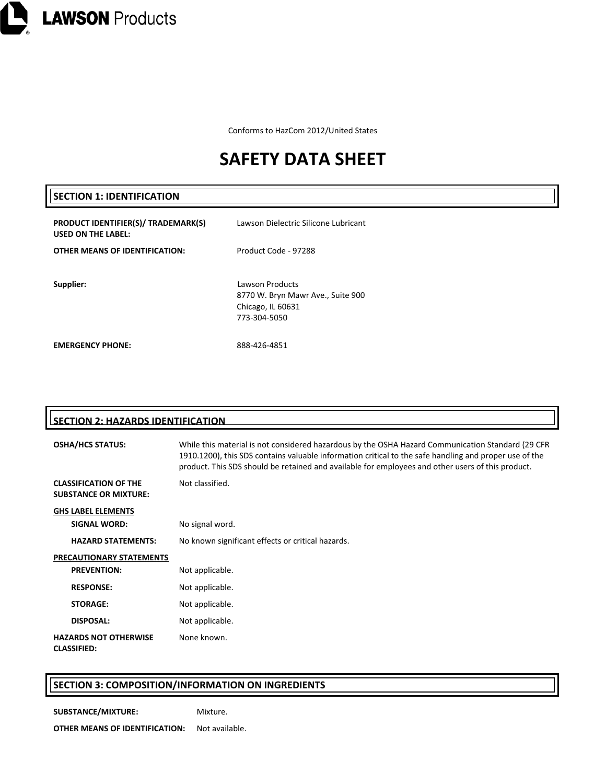

Conforms to HazCom 2012/United States

# **SAFETY DATA SHEET**

# **SECTION 1: IDENTIFICATION**

| PRODUCT IDENTIFIER(S)/ TRADEMARK(S)<br><b>USED ON THE LABEL:</b> | Lawson Dielectric Silicone Lubricant                                                      |
|------------------------------------------------------------------|-------------------------------------------------------------------------------------------|
| OTHER MEANS OF IDENTIFICATION:                                   | Product Code - 97288                                                                      |
| Supplier:                                                        | Lawson Products<br>8770 W. Bryn Mawr Ave., Suite 900<br>Chicago, IL 60631<br>773-304-5050 |
| <b>EMERGENCY PHONE:</b>                                          | 888-426-4851                                                                              |

| <b>SECTION 2: HAZARDS IDENTIFICATION</b>                     |                                                                                                                                                                                                                                                                                                                  |
|--------------------------------------------------------------|------------------------------------------------------------------------------------------------------------------------------------------------------------------------------------------------------------------------------------------------------------------------------------------------------------------|
| <b>OSHA/HCS STATUS:</b>                                      | While this material is not considered hazardous by the OSHA Hazard Communication Standard (29 CFR<br>1910.1200), this SDS contains valuable information critical to the safe handling and proper use of the<br>product. This SDS should be retained and available for employees and other users of this product. |
| <b>CLASSIFICATION OF THE</b><br><b>SUBSTANCE OR MIXTURE:</b> | Not classified.                                                                                                                                                                                                                                                                                                  |
| <b>GHS LABEL ELEMENTS</b>                                    |                                                                                                                                                                                                                                                                                                                  |
| <b>SIGNAL WORD:</b>                                          | No signal word.                                                                                                                                                                                                                                                                                                  |
| <b>HAZARD STATEMENTS:</b>                                    | No known significant effects or critical hazards.                                                                                                                                                                                                                                                                |
| <b>PRECAUTIONARY STATEMENTS</b>                              |                                                                                                                                                                                                                                                                                                                  |
| <b>PREVENTION:</b>                                           | Not applicable.                                                                                                                                                                                                                                                                                                  |
| <b>RESPONSE:</b>                                             | Not applicable.                                                                                                                                                                                                                                                                                                  |
| <b>STORAGE:</b>                                              | Not applicable.                                                                                                                                                                                                                                                                                                  |
| <b>DISPOSAL:</b>                                             | Not applicable.                                                                                                                                                                                                                                                                                                  |
| <b>HAZARDS NOT OTHERWISE</b><br><b>CLASSIFIED:</b>           | None known.                                                                                                                                                                                                                                                                                                      |

# **SECTION 3: COMPOSITION/INFORMATION ON INGREDIENTS**

### SUBSTANCE/MIXTURE: Mixture.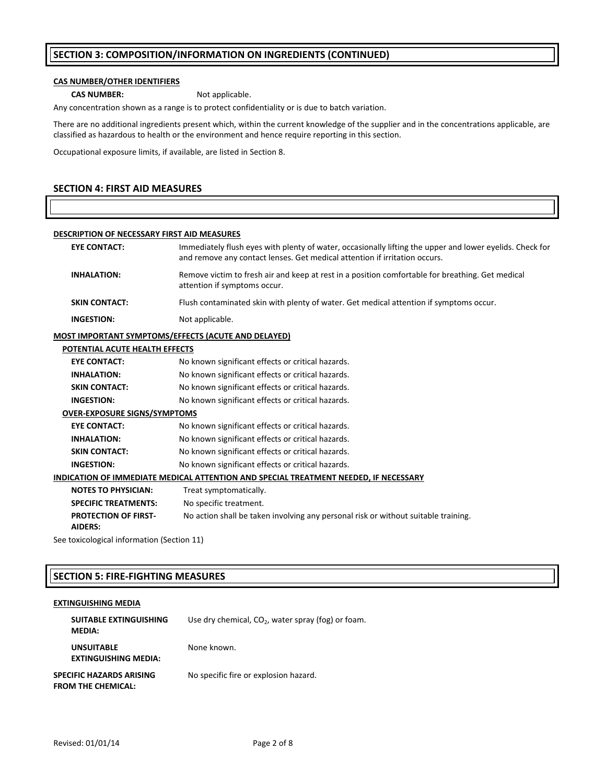# **SECTION 3: COMPOSITION/INFORMATION ON INGREDIENTS (CONTINUED)**

### **CAS NUMBER/OTHER IDENTIFIERS**

**CAS NUMBER:** Not applicable.

Any concentration shown as a range is to protect confidentiality or is due to batch variation.

There are no additional ingredients present which, within the current knowledge of the supplier and in the concentrations applicable, are classified as hazardous to health or the environment and hence require reporting in this section.

Occupational exposure limits, if available, are listed in Section 8.

#### **SECTION 4: FIRST AID MEASURES**

### **DESCRIPTION OF NECESSARY FIRST AID MEASURES**

| <b>EYE CONTACT:</b>                           | Immediately flush eyes with plenty of water, occasionally lifting the upper and lower eyelids. Check for<br>and remove any contact lenses. Get medical attention if irritation occurs. |
|-----------------------------------------------|----------------------------------------------------------------------------------------------------------------------------------------------------------------------------------------|
| <b>INHALATION:</b>                            | Remove victim to fresh air and keep at rest in a position comfortable for breathing. Get medical<br>attention if symptoms occur.                                                       |
| <b>SKIN CONTACT:</b>                          | Flush contaminated skin with plenty of water. Get medical attention if symptoms occur.                                                                                                 |
| <b>INGESTION:</b>                             | Not applicable.                                                                                                                                                                        |
|                                               | MOST IMPORTANT SYMPTOMS/EFFECTS (ACUTE AND DELAYED)                                                                                                                                    |
| POTENTIAL ACUTE HEALTH EFFECTS                |                                                                                                                                                                                        |
| <b>EYE CONTACT:</b>                           | No known significant effects or critical hazards.                                                                                                                                      |
| <b>INHALATION:</b>                            | No known significant effects or critical hazards.                                                                                                                                      |
| <b>SKIN CONTACT:</b>                          | No known significant effects or critical hazards.                                                                                                                                      |
| <b>INGESTION:</b>                             | No known significant effects or critical hazards.                                                                                                                                      |
| <b>OVER-EXPOSURE SIGNS/SYMPTOMS</b>           |                                                                                                                                                                                        |
| <b>EYE CONTACT:</b>                           | No known significant effects or critical hazards.                                                                                                                                      |
| <b>INHALATION:</b>                            | No known significant effects or critical hazards.                                                                                                                                      |
| <b>SKIN CONTACT:</b>                          | No known significant effects or critical hazards.                                                                                                                                      |
| <b>INGESTION:</b>                             | No known significant effects or critical hazards.                                                                                                                                      |
|                                               | INDICATION OF IMMEDIATE MEDICAL ATTENTION AND SPECIAL TREATMENT NEEDED, IF NECESSARY                                                                                                   |
| <b>NOTES TO PHYSICIAN:</b>                    | Treat symptomatically.                                                                                                                                                                 |
| <b>SPECIFIC TREATMENTS:</b>                   | No specific treatment.                                                                                                                                                                 |
| <b>PROTECTION OF FIRST-</b><br><b>AIDERS:</b> | No action shall be taken involving any personal risk or without suitable training.                                                                                                     |
| See toxicological information (Section 11)    |                                                                                                                                                                                        |

See toxicological information (Section 11)

#### **SECTION 5: FIRE‐FIGHTING MEASURES**

#### **EXTINGUISHING MEDIA**

| <b>SUITABLE EXTINGUISHING</b><br><b>MEDIA:</b>               | Use dry chemical, $CO2$ , water spray (fog) or foam. |
|--------------------------------------------------------------|------------------------------------------------------|
| <b>UNSUITABLE</b><br><b>EXTINGUISHING MEDIA:</b>             | None known.                                          |
| <b>SPECIFIC HAZARDS ARISING</b><br><b>FROM THE CHEMICAL:</b> | No specific fire or explosion hazard.                |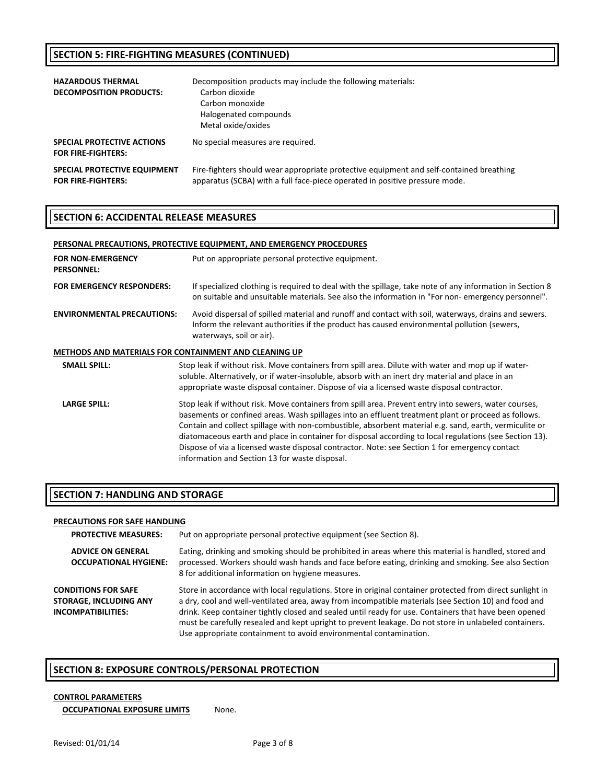# **SECTION 5: FIRE‐FIGHTING MEASURES (CONTINUED)**

| <b>HAZARDOUS THERMAL</b><br><b>DECOMPOSITION PRODUCTS:</b>     | Decomposition products may include the following materials:<br>Carbon dioxide<br>Carbon monoxide<br>Halogenated compounds<br>Metal oxide/oxides                        |
|----------------------------------------------------------------|------------------------------------------------------------------------------------------------------------------------------------------------------------------------|
| <b>SPECIAL PROTECTIVE ACTIONS</b><br><b>FOR FIRE-FIGHTERS:</b> | No special measures are required.                                                                                                                                      |
| SPECIAL PROTECTIVE EQUIPMENT<br><b>FOR FIRE-FIGHTERS:</b>      | Fire-fighters should wear appropriate protective equipment and self-contained breathing<br>apparatus (SCBA) with a full face-piece operated in positive pressure mode. |

# **SECTION 6: ACCIDENTAL RELEASE MEASURES**

# **PERSONAL PRECAUTIONS, PROTECTIVE EQUIPMENT, AND EMERGENCY PROCEDURES FOR NON‐EMERGENCY PERSONNEL:** Put on appropriate personal protective equipment. **FOR EMERGENCY RESPONDERS:** If specialized clothing is required to deal with the spillage, take note of any information in Section 8 on suitable and unsuitable materials. See also the information in "For non‐ emergency personnel". **ENVIRONMENTAL PRECAUTIONS:** Avoid dispersal of spilled material and runoff and contact with soil, waterways, drains and sewers. Inform the relevant authorities if the product has caused environmental pollution (sewers, waterways, soil or air). **METHODS AND MATERIALS FOR CONTAINMENT AND CLEANING UP SMALL SPILL:** Stop leak if without risk. Move containers from spill area. Dilute with water and mop up if watersoluble. Alternatively, or if water‐insoluble, absorb with an inert dry material and place in an appropriate waste disposal container. Dispose of via a licensed waste disposal contractor. **LARGE SPILL:** Stop leak if without risk. Move containers from spill area. Prevent entry into sewers, water courses, basements or confined areas. Wash spillages into an effluent treatment plant or proceed as follows. Contain and collect spillage with non‐combustible, absorbent material e.g. sand, earth, vermiculite or diatomaceous earth and place in container for disposal according to local regulations (see Section 13). Dispose of via a licensed waste disposal contractor. Note: see Section 1 for emergency contact information and Section 13 for waste disposal.

# **SECTION 7: HANDLING AND STORAGE**

#### **PRECAUTIONS FOR SAFE HANDLING**

**PROTECTIVE MEASURES:** Put on appropriate personal protective equipment (see Section 8).

| <b>ADVICE ON GENERAL</b><br><b>OCCUPATIONAL HYGIENE:</b>                          | Eating, drinking and smoking should be prohibited in areas where this material is handled, stored and<br>processed. Workers should wash hands and face before eating, drinking and smoking. See also Section<br>8 for additional information on hygiene measures.                                                                                                                                                                                                                                        |
|-----------------------------------------------------------------------------------|----------------------------------------------------------------------------------------------------------------------------------------------------------------------------------------------------------------------------------------------------------------------------------------------------------------------------------------------------------------------------------------------------------------------------------------------------------------------------------------------------------|
| <b>CONDITIONS FOR SAFE</b><br><b>STORAGE. INCLUDING ANY</b><br>INCOMPATIBILITIES: | Store in accordance with local regulations. Store in original container protected from direct sunlight in<br>a dry, cool and well-ventilated area, away from incompatible materials (see Section 10) and food and<br>drink. Keep container tightly closed and sealed until ready for use. Containers that have been opened<br>must be carefully resealed and kept upright to prevent leakage. Do not store in unlabeled containers.<br>Use appropriate containment to avoid environmental contamination. |

# **SECTION 8: EXPOSURE CONTROLS/PERSONAL PROTECTION**

#### **CONTROL PARAMETERS**

**OCCUPATIONAL EXPOSURE LIMITS** None.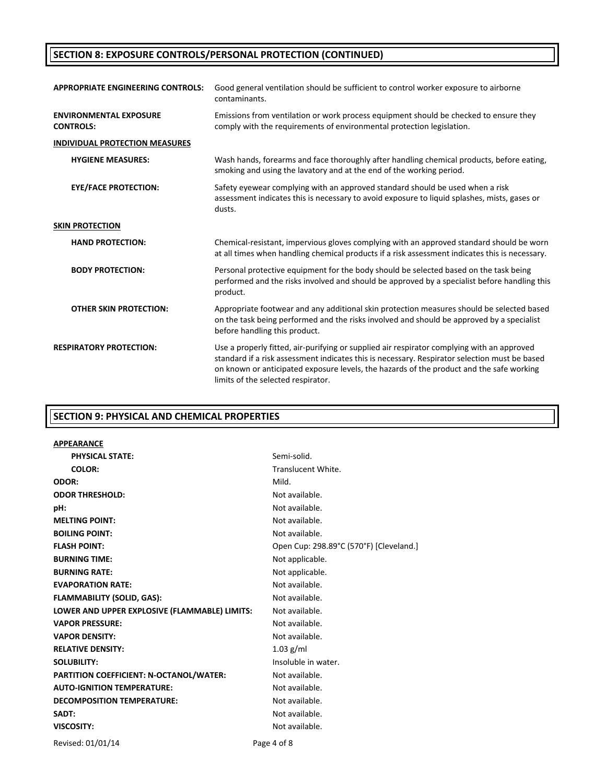# **SECTION 8: EXPOSURE CONTROLS/PERSONAL PROTECTION (CONTINUED)**

| <b>APPROPRIATE ENGINEERING CONTROLS:</b>          | Good general ventilation should be sufficient to control worker exposure to airborne<br>contaminants.                                                                                                                                                                                                                         |
|---------------------------------------------------|-------------------------------------------------------------------------------------------------------------------------------------------------------------------------------------------------------------------------------------------------------------------------------------------------------------------------------|
| <b>ENVIRONMENTAL EXPOSURE</b><br><b>CONTROLS:</b> | Emissions from ventilation or work process equipment should be checked to ensure they<br>comply with the requirements of environmental protection legislation.                                                                                                                                                                |
| <b>INDIVIDUAL PROTECTION MEASURES</b>             |                                                                                                                                                                                                                                                                                                                               |
| <b>HYGIENE MEASURES:</b>                          | Wash hands, forearms and face thoroughly after handling chemical products, before eating,<br>smoking and using the lavatory and at the end of the working period.                                                                                                                                                             |
| <b>EYE/FACE PROTECTION:</b>                       | Safety eyewear complying with an approved standard should be used when a risk<br>assessment indicates this is necessary to avoid exposure to liquid splashes, mists, gases or<br>dusts.                                                                                                                                       |
| <b>SKIN PROTECTION</b>                            |                                                                                                                                                                                                                                                                                                                               |
| <b>HAND PROTECTION:</b>                           | Chemical-resistant, impervious gloves complying with an approved standard should be worn<br>at all times when handling chemical products if a risk assessment indicates this is necessary.                                                                                                                                    |
| <b>BODY PROTECTION:</b>                           | Personal protective equipment for the body should be selected based on the task being<br>performed and the risks involved and should be approved by a specialist before handling this<br>product.                                                                                                                             |
| <b>OTHER SKIN PROTECTION:</b>                     | Appropriate footwear and any additional skin protection measures should be selected based<br>on the task being performed and the risks involved and should be approved by a specialist<br>before handling this product.                                                                                                       |
| <b>RESPIRATORY PROTECTION:</b>                    | Use a properly fitted, air-purifying or supplied air respirator complying with an approved<br>standard if a risk assessment indicates this is necessary. Respirator selection must be based<br>on known or anticipated exposure levels, the hazards of the product and the safe working<br>limits of the selected respirator. |

# **SECTION 9: PHYSICAL AND CHEMICAL PROPERTIES**

### **APPEARANCE**

| <b>PHYSICAL STATE:</b>                        | Semi-solid.                             |
|-----------------------------------------------|-----------------------------------------|
| <b>COLOR:</b>                                 | Translucent White.                      |
| ODOR:                                         | Mild.                                   |
| <b>ODOR THRESHOLD:</b>                        | Not available.                          |
| pH:                                           | Not available.                          |
| <b>MELTING POINT:</b>                         | Not available.                          |
| <b>BOILING POINT:</b>                         | Not available.                          |
| <b>FLASH POINT:</b>                           | Open Cup: 298.89°C (570°F) [Cleveland.] |
| <b>BURNING TIME:</b>                          | Not applicable.                         |
| <b>BURNING RATE:</b>                          | Not applicable.                         |
| <b>EVAPORATION RATE:</b>                      | Not available.                          |
| <b>FLAMMABILITY (SOLID, GAS):</b>             | Not available.                          |
| LOWER AND UPPER EXPLOSIVE (FLAMMABLE) LIMITS: | Not available.                          |
| <b>VAPOR PRESSURE:</b>                        | Not available.                          |
| <b>VAPOR DENSITY:</b>                         | Not available.                          |
| <b>RELATIVE DENSITY:</b>                      | $1.03$ g/ml                             |
| <b>SOLUBILITY:</b>                            | Insoluble in water.                     |
| PARTITION COEFFICIENT: N-OCTANOL/WATER:       | Not available.                          |
| <b>AUTO-IGNITION TEMPERATURE:</b>             | Not available.                          |
| <b>DECOMPOSITION TEMPERATURE:</b>             | Not available.                          |
| SADT:                                         | Not available.                          |
| <b>VISCOSITY:</b>                             | Not available.                          |
| Revised: 01/01/14                             | Page 4 of 8                             |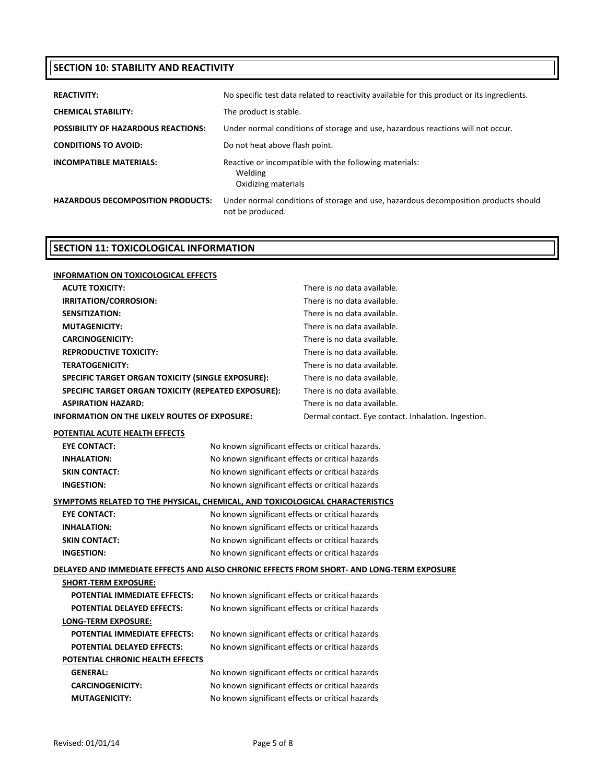# **SECTION 10: STABILITY AND REACTIVITY**

| <b>REACTIVITY:</b>                         | No specific test data related to reactivity available for this product or its ingredients.              |
|--------------------------------------------|---------------------------------------------------------------------------------------------------------|
| <b>CHEMICAL STABILITY:</b>                 | The product is stable.                                                                                  |
| <b>POSSIBILITY OF HAZARDOUS REACTIONS:</b> | Under normal conditions of storage and use, hazardous reactions will not occur.                         |
| <b>CONDITIONS TO AVOID:</b>                | Do not heat above flash point.                                                                          |
| <b>INCOMPATIBLE MATERIALS:</b>             | Reactive or incompatible with the following materials:<br>Welding<br>Oxidizing materials                |
| <b>HAZARDOUS DECOMPOSITION PRODUCTS:</b>   | Under normal conditions of storage and use, hazardous decomposition products should<br>not be produced. |

# **SECTION 11: TOXICOLOGICAL INFORMATION**

| <b>INFORMATION ON TOXICOLOGICAL EFFECTS</b>                                   |                                                   |                                                     |
|-------------------------------------------------------------------------------|---------------------------------------------------|-----------------------------------------------------|
| <b>ACUTE TOXICITY:</b>                                                        |                                                   | There is no data available.                         |
| IRRITATION/CORROSION:                                                         |                                                   | There is no data available.                         |
| <b>SENSITIZATION:</b>                                                         |                                                   | There is no data available.                         |
| <b>MUTAGENICITY:</b>                                                          |                                                   | There is no data available.                         |
| <b>CARCINOGENICITY:</b>                                                       |                                                   | There is no data available.                         |
| <b>REPRODUCTIVE TOXICITY:</b>                                                 |                                                   | There is no data available.                         |
| <b>TERATOGENICITY:</b>                                                        |                                                   | There is no data available.                         |
| SPECIFIC TARGET ORGAN TOXICITY (SINGLE EXPOSURE):                             |                                                   | There is no data available.                         |
| SPECIFIC TARGET ORGAN TOXICITY (REPEATED EXPOSURE):                           |                                                   | There is no data available.                         |
| <b>ASPIRATION HAZARD:</b>                                                     |                                                   | There is no data available.                         |
| <b>INFORMATION ON THE LIKELY ROUTES OF EXPOSURE:</b>                          |                                                   | Dermal contact. Eye contact. Inhalation. Ingestion. |
| POTENTIAL ACUTE HEALTH EFFECTS                                                |                                                   |                                                     |
| <b>EYE CONTACT:</b>                                                           | No known significant effects or critical hazards. |                                                     |
| <b>INHALATION:</b>                                                            | No known significant effects or critical hazards  |                                                     |
| <b>SKIN CONTACT:</b>                                                          | No known significant effects or critical hazards  |                                                     |
| INGESTION:                                                                    | No known significant effects or critical hazards  |                                                     |
| SYMPTOMS RELATED TO THE PHYSICAL, CHEMICAL, AND TOXICOLOGICAL CHARACTERISTICS |                                                   |                                                     |
| <b>EYE CONTACT:</b>                                                           | No known significant effects or critical hazards  |                                                     |
| <b>INHALATION:</b>                                                            | No known significant effects or critical hazards  |                                                     |
|                                                                               |                                                   |                                                     |

**SKIN CONTACT:** No known significant effects or critical hazards **INGESTION:** No known significant effects or critical hazards

# **DELAYED AND IMMEDIATE EFFECTS AND ALSO CHRONIC EFFECTS FROM SHORT‐ AND LONG‐TERM EXPOSURE**

| <b>SHORT-TERM EXPOSURE:</b>         |                                                  |
|-------------------------------------|--------------------------------------------------|
| <b>POTENTIAL IMMEDIATE EFFECTS:</b> | No known significant effects or critical hazards |
| <b>POTENTIAL DELAYED EFFECTS:</b>   | No known significant effects or critical hazards |
| LONG-TERM EXPOSURE:                 |                                                  |
| <b>POTENTIAL IMMEDIATE EFFECTS:</b> | No known significant effects or critical hazards |
| <b>POTENTIAL DELAYED EFFECTS:</b>   | No known significant effects or critical hazards |
| POTENTIAL CHRONIC HEALTH EFFECTS    |                                                  |
| <b>GENERAL:</b>                     | No known significant effects or critical hazards |
| <b>CARCINOGENICITY:</b>             | No known significant effects or critical hazards |
| <b>MUTAGENICITY:</b>                | No known significant effects or critical hazards |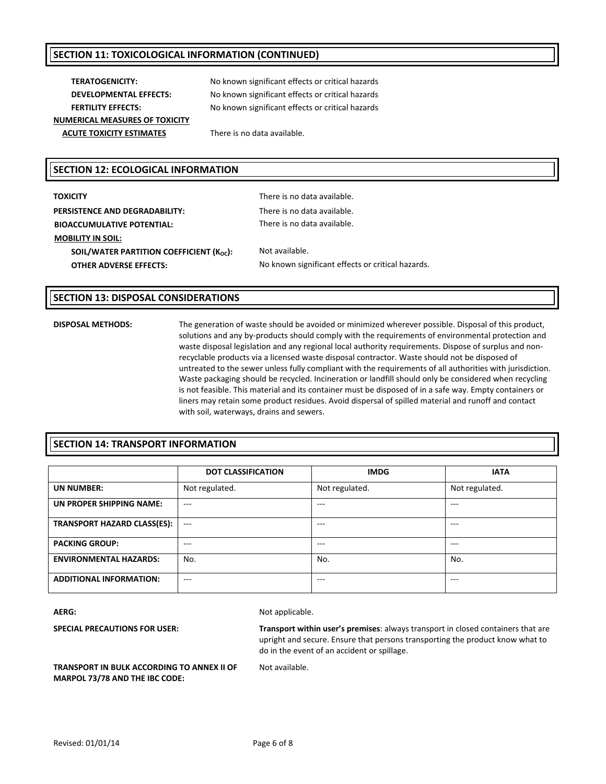# **SECTION 11: TOXICOLOGICAL INFORMATION (CONTINUED)**

| <b>TERATOGENICITY:</b>          |
|---------------------------------|
| <b>DEVELOPMENTAL EFFECTS:</b>   |
| <b>FERTILITY EFFECTS:</b>       |
| NUMERICAL MEASURES OF TOXICITY  |
| <b>ACUTE TOXICITY ESTIMATES</b> |

No known significant effects or critical hazards **DEVELOPMENTAL EFFECTS:** No known significant effects or critical hazards **FERTILITY EFFECTS:** No known significant effects or critical hazards

There is no data available.

# **SECTION 12: ECOLOGICAL INFORMATION**

| <b>TOXICITY</b>                                     | There is no data available.                       |
|-----------------------------------------------------|---------------------------------------------------|
| PERSISTENCE AND DEGRADABILITY:                      | There is no data available.                       |
| <b>BIOACCUMULATIVE POTENTIAL:</b>                   | There is no data available.                       |
| <b>MOBILITY IN SOIL:</b>                            |                                                   |
| SOIL/WATER PARTITION COEFFICIENT $(K_{\alpha c})$ : | Not available.                                    |
| <b>OTHER ADVERSE EFFECTS:</b>                       | No known significant effects or critical hazards. |

### **SECTION 13: DISPOSAL CONSIDERATIONS**

**DISPOSAL METHODS:** The generation of waste should be avoided or minimized wherever possible. Disposal of this product, solutions and any by-products should comply with the requirements of environmental protection and waste disposal legislation and any regional local authority requirements. Dispose of surplus and non‐ recyclable products via a licensed waste disposal contractor. Waste should not be disposed of untreated to the sewer unless fully compliant with the requirements of all authorities with jurisdiction. Waste packaging should be recycled. Incineration or landfill should only be considered when recycling is not feasible. This material and its container must be disposed of in a safe way. Empty containers or liners may retain some product residues. Avoid dispersal of spilled material and runoff and contact with soil, waterways, drains and sewers.

# **SECTION 14: TRANSPORT INFORMATION**

|                                    | <b>DOT CLASSIFICATION</b> | <b>IMDG</b>    | <b>IATA</b>    |
|------------------------------------|---------------------------|----------------|----------------|
| <b>UN NUMBER:</b>                  | Not regulated.            | Not regulated. | Not regulated. |
| UN PROPER SHIPPING NAME:           | $- - -$                   | $- - -$        | ---            |
| <b>TRANSPORT HAZARD CLASS(ES):</b> | $---$                     | $- - -$        | ---            |
| <b>PACKING GROUP:</b>              | ---                       | ---            | ---            |
| <b>ENVIRONMENTAL HAZARDS:</b>      | No.                       | No.            | No.            |
| <b>ADDITIONAL INFORMATION:</b>     | $- - -$                   | ---            | ---            |

AERG: Not applicable.

Not available.

**SPECIAL PRECAUTIONS FOR USER: Transport within user's premises**: always transport in closed containers that are upright and secure. Ensure that persons transporting the product know what to do in the event of an accident or spillage.

**TRANSPORT IN BULK ACCORDING TO ANNEX II OF MARPOL 73/78 AND THE IBC CODE:**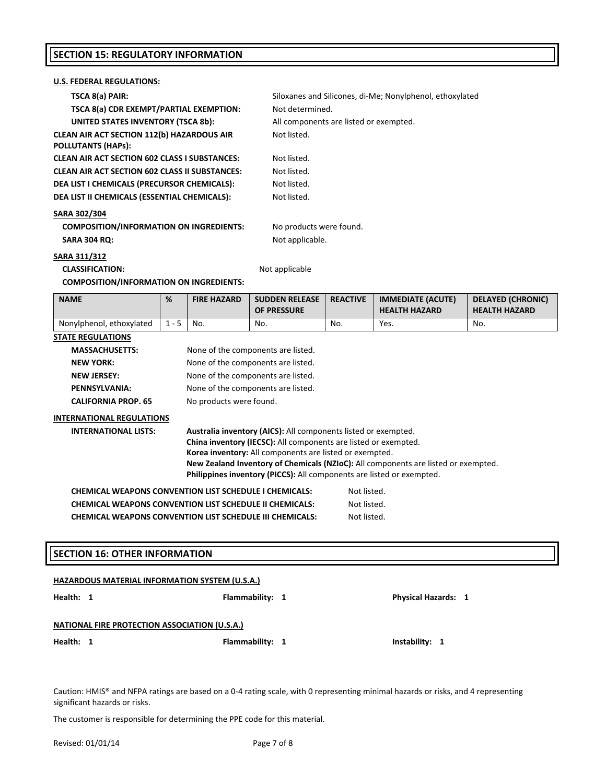# **SECTION 15: REGULATORY INFORMATION**

| U.S. FEDERAL REGULATIONS:                                                            |         |                                                                             |                                                                       |                                                                                                                                               |                                                  |                                                  |  |
|--------------------------------------------------------------------------------------|---------|-----------------------------------------------------------------------------|-----------------------------------------------------------------------|-----------------------------------------------------------------------------------------------------------------------------------------------|--------------------------------------------------|--------------------------------------------------|--|
| TSCA 8(a) PAIR:                                                                      |         |                                                                             |                                                                       |                                                                                                                                               |                                                  |                                                  |  |
|                                                                                      |         | Siloxanes and Silicones, di-Me; Nonylphenol, ethoxylated<br>Not determined. |                                                                       |                                                                                                                                               |                                                  |                                                  |  |
| TSCA 8(a) CDR EXEMPT/PARTIAL EXEMPTION:<br><b>UNITED STATES INVENTORY (TSCA 8b):</b> |         |                                                                             | All components are listed or exempted.                                |                                                                                                                                               |                                                  |                                                  |  |
| <b>CLEAN AIR ACT SECTION 112(b) HAZARDOUS AIR</b>                                    |         |                                                                             | Not listed.                                                           |                                                                                                                                               |                                                  |                                                  |  |
| <b>POLLUTANTS (HAPs):</b>                                                            |         |                                                                             |                                                                       |                                                                                                                                               |                                                  |                                                  |  |
| CLEAN AIR ACT SECTION 602 CLASS I SUBSTANCES:                                        |         |                                                                             | Not listed.                                                           |                                                                                                                                               |                                                  |                                                  |  |
| CLEAN AIR ACT SECTION 602 CLASS II SUBSTANCES:                                       |         |                                                                             | Not listed.                                                           |                                                                                                                                               |                                                  |                                                  |  |
| DEA LIST I CHEMICALS (PRECURSOR CHEMICALS):                                          |         |                                                                             | Not listed.                                                           |                                                                                                                                               |                                                  |                                                  |  |
| DEA LIST II CHEMICALS (ESSENTIAL CHEMICALS):                                         |         |                                                                             | Not listed.                                                           |                                                                                                                                               |                                                  |                                                  |  |
| SARA 302/304                                                                         |         |                                                                             |                                                                       |                                                                                                                                               |                                                  |                                                  |  |
| <b>COMPOSITION/INFORMATION ON INGREDIENTS:</b>                                       |         |                                                                             | No products were found.                                               |                                                                                                                                               |                                                  |                                                  |  |
| <b>SARA 304 RQ:</b>                                                                  |         |                                                                             | Not applicable.                                                       |                                                                                                                                               |                                                  |                                                  |  |
| <u>SARA 311/312</u>                                                                  |         |                                                                             |                                                                       |                                                                                                                                               |                                                  |                                                  |  |
| <b>CLASSIFICATION:</b>                                                               |         |                                                                             | Not applicable                                                        |                                                                                                                                               |                                                  |                                                  |  |
| <b>COMPOSITION/INFORMATION ON INGREDIENTS:</b>                                       |         |                                                                             |                                                                       |                                                                                                                                               |                                                  |                                                  |  |
|                                                                                      |         |                                                                             |                                                                       |                                                                                                                                               |                                                  |                                                  |  |
| <b>NAME</b>                                                                          | %       | <b>FIRE HAZARD</b>                                                          | <b>SUDDEN RELEASE</b><br><b>OF PRESSURE</b>                           | <b>REACTIVE</b>                                                                                                                               | <b>IMMEDIATE (ACUTE)</b><br><b>HEALTH HAZARD</b> | <b>DELAYED (CHRONIC)</b><br><b>HEALTH HAZARD</b> |  |
| Nonylphenol, ethoxylated                                                             | $1 - 5$ | No.                                                                         | No.                                                                   | No.                                                                                                                                           | Yes.                                             | No.                                              |  |
| <b>STATE REGULATIONS</b>                                                             |         |                                                                             |                                                                       |                                                                                                                                               |                                                  |                                                  |  |
| <b>MASSACHUSETTS:</b>                                                                |         |                                                                             | None of the components are listed.                                    |                                                                                                                                               |                                                  |                                                  |  |
| <b>NEW YORK:</b>                                                                     |         |                                                                             | None of the components are listed.                                    |                                                                                                                                               |                                                  |                                                  |  |
| <b>NEW JERSEY:</b>                                                                   |         |                                                                             | None of the components are listed.                                    |                                                                                                                                               |                                                  |                                                  |  |
| PENNSYLVANIA:                                                                        |         |                                                                             | None of the components are listed.                                    |                                                                                                                                               |                                                  |                                                  |  |
| <b>CALIFORNIA PROP. 65</b>                                                           |         | No products were found.                                                     |                                                                       |                                                                                                                                               |                                                  |                                                  |  |
| <b>INTERNATIONAL REGULATIONS</b>                                                     |         |                                                                             |                                                                       |                                                                                                                                               |                                                  |                                                  |  |
| <b>INTERNATIONAL LISTS:</b>                                                          |         |                                                                             | Australia inventory (AICS): All components listed or exempted.        |                                                                                                                                               |                                                  |                                                  |  |
|                                                                                      |         |                                                                             |                                                                       | China inventory (IECSC): All components are listed or exempted.                                                                               |                                                  |                                                  |  |
|                                                                                      |         |                                                                             |                                                                       | Korea inventory: All components are listed or exempted.<br>New Zealand Inventory of Chemicals (NZIoC): All components are listed or exempted. |                                                  |                                                  |  |
|                                                                                      |         |                                                                             | Philippines inventory (PICCS): All components are listed or exempted. |                                                                                                                                               |                                                  |                                                  |  |
|                                                                                      |         |                                                                             |                                                                       |                                                                                                                                               |                                                  |                                                  |  |
| <b>CHEMICAL WEAPONS CONVENTION LIST SCHEDULE I CHEMICALS:</b>                        |         |                                                                             |                                                                       | Not listed.                                                                                                                                   |                                                  |                                                  |  |
| <b>CHEMICAL WEAPONS CONVENTION LIST SCHEDULE II CHEMICALS:</b>                       |         |                                                                             |                                                                       | Not listed.                                                                                                                                   |                                                  |                                                  |  |
| CHEMICAL WEAPONS CONVENTION LIST SCHEDULE III CHEMICALS:                             |         |                                                                             |                                                                       | Not listed.                                                                                                                                   |                                                  |                                                  |  |
|                                                                                      |         |                                                                             |                                                                       |                                                                                                                                               |                                                  |                                                  |  |
| <b>SECTION 16: OTHER INFORMATION</b>                                                 |         |                                                                             |                                                                       |                                                                                                                                               |                                                  |                                                  |  |
| HAZARDOUS MATERIAL INFORMATION SYSTEM (U.S.A.)                                       |         |                                                                             |                                                                       |                                                                                                                                               |                                                  |                                                  |  |
| Health: 1                                                                            |         |                                                                             | Flammability: 1                                                       |                                                                                                                                               | <b>Physical Hazards: 1</b>                       |                                                  |  |
|                                                                                      |         |                                                                             |                                                                       |                                                                                                                                               |                                                  |                                                  |  |
| NATIONAL FIRE PROTECTION ASSOCIATION (U.S.A.)                                        |         |                                                                             |                                                                       |                                                                                                                                               |                                                  |                                                  |  |
| Health: 1                                                                            |         |                                                                             | Flammability: 1                                                       |                                                                                                                                               | Instability: 1                                   |                                                  |  |
|                                                                                      |         |                                                                             |                                                                       |                                                                                                                                               |                                                  |                                                  |  |

Caution: HMIS® and NFPA ratings are based on a 0‐4 rating scale, with 0 representing minimal hazards or risks, and 4 representing significant hazards or risks.

The customer is responsible for determining the PPE code for this material.